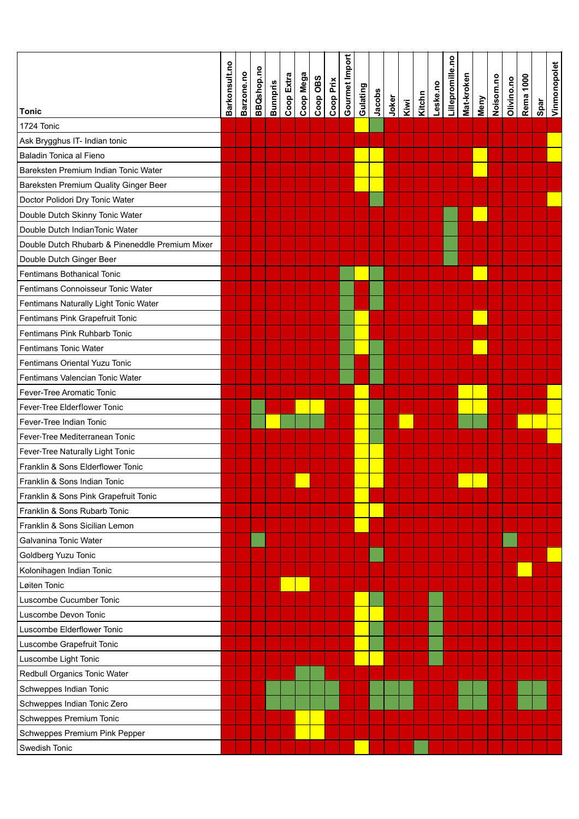|                                                 | Barkonsult.no | Barzone.no | <b>BBQshop.no</b> | <b>Bunnpris</b> | Coop Extra | Coop Mega | Coop OBS | Coop Prix | Gourmet Import |          |        |       |      |        |          | Lillepromille.no | Mat-kroken |      | Noisom.no | Olivino.no | <b>Rema 1000</b> |      | Vinmonopolet |
|-------------------------------------------------|---------------|------------|-------------------|-----------------|------------|-----------|----------|-----------|----------------|----------|--------|-------|------|--------|----------|------------------|------------|------|-----------|------------|------------------|------|--------------|
| <b>Tonic</b>                                    |               |            |                   |                 |            |           |          |           |                | Gulating | Jacobs | Joker | Kiwi | Kitchn | Leske.no |                  |            | Meny |           |            |                  | Spar |              |
| 1724 Tonic                                      |               |            |                   |                 |            |           |          |           |                |          |        |       |      |        |          |                  |            |      |           |            |                  |      |              |
| Ask Brygghus IT- Indian tonic                   |               |            |                   |                 |            |           |          |           |                |          |        |       |      |        |          |                  |            |      |           |            |                  |      |              |
| Baladin Tonica al Fieno                         |               |            |                   |                 |            |           |          |           |                |          |        |       |      |        |          |                  |            |      |           |            |                  |      |              |
| Bareksten Premium Indian Tonic Water            |               |            |                   |                 |            |           |          |           |                |          |        |       |      |        |          |                  |            |      |           |            |                  |      |              |
| Bareksten Premium Quality Ginger Beer           |               |            |                   |                 |            |           |          |           |                |          |        |       |      |        |          |                  |            |      |           |            |                  |      |              |
| Doctor Polidori Dry Tonic Water                 |               |            |                   |                 |            |           |          |           |                |          |        |       |      |        |          |                  |            |      |           |            |                  |      |              |
| Double Dutch Skinny Tonic Water                 |               |            |                   |                 |            |           |          |           |                |          |        |       |      |        |          |                  |            |      |           |            |                  |      |              |
| Double Dutch IndianTonic Water                  |               |            |                   |                 |            |           |          |           |                |          |        |       |      |        |          |                  |            |      |           |            |                  |      |              |
| Double Dutch Rhubarb & Pineneddle Premium Mixer |               |            |                   |                 |            |           |          |           |                |          |        |       |      |        |          |                  |            |      |           |            |                  |      |              |
| Double Dutch Ginger Beer                        |               |            |                   |                 |            |           |          |           |                |          |        |       |      |        |          |                  |            |      |           |            |                  |      |              |
| <b>Fentimans Bothanical Tonic</b>               |               |            |                   |                 |            |           |          |           |                |          |        |       |      |        |          |                  |            |      |           |            |                  |      |              |
| Fentimans Connoisseur Tonic Water               |               |            |                   |                 |            |           |          |           |                |          |        |       |      |        |          |                  |            |      |           |            |                  |      |              |
| Fentimans Naturally Light Tonic Water           |               |            |                   |                 |            |           |          |           |                |          |        |       |      |        |          |                  |            |      |           |            |                  |      |              |
| Fentimans Pink Grapefruit Tonic                 |               |            |                   |                 |            |           |          |           |                |          |        |       |      |        |          |                  |            |      |           |            |                  |      |              |
| Fentimans Pink Ruhbarb Tonic                    |               |            |                   |                 |            |           |          |           |                |          |        |       |      |        |          |                  |            |      |           |            |                  |      |              |
| <b>Fentimans Tonic Water</b>                    |               |            |                   |                 |            |           |          |           |                |          |        |       |      |        |          |                  |            |      |           |            |                  |      |              |
| Fentimans Oriental Yuzu Tonic                   |               |            |                   |                 |            |           |          |           |                |          |        |       |      |        |          |                  |            |      |           |            |                  |      |              |
| Fentimans Valencian Tonic Water                 |               |            |                   |                 |            |           |          |           |                |          |        |       |      |        |          |                  |            |      |           |            |                  |      |              |
| Fever-Tree Aromatic Tonic                       |               |            |                   |                 |            |           |          |           |                |          |        |       |      |        |          |                  |            |      |           |            |                  |      |              |
| Fever-Tree Elderflower Tonic                    |               |            |                   |                 |            |           |          |           |                |          |        |       |      |        |          |                  |            |      |           |            |                  |      |              |
| Fever-Tree Indian Tonic                         |               |            |                   |                 |            |           |          |           |                |          |        |       |      |        |          |                  |            |      |           |            |                  |      |              |
| Fever-Tree Mediterranean Tonic                  |               |            |                   |                 |            |           |          |           |                |          |        |       |      |        |          |                  |            |      |           |            |                  |      |              |
| Fever-Tree Naturally Light Tonic                |               |            |                   |                 |            |           |          |           |                |          |        |       |      |        |          |                  |            |      |           |            |                  |      |              |
| Franklin & Sons Elderflower Tonic               |               |            |                   |                 |            |           |          |           |                |          |        |       |      |        |          |                  |            |      |           |            |                  |      |              |
| Franklin & Sons Indian Tonic                    |               |            |                   |                 |            |           |          |           |                |          |        |       |      |        |          |                  |            |      |           |            |                  |      |              |
| Franklin & Sons Pink Grapefruit Tonic           |               |            |                   |                 |            |           |          |           |                |          |        |       |      |        |          |                  |            |      |           |            |                  |      |              |
| Franklin & Sons Rubarb Tonic                    |               |            |                   |                 |            |           |          |           |                |          |        |       |      |        |          |                  |            |      |           |            |                  |      |              |
| Franklin & Sons Sicilian Lemon                  |               |            |                   |                 |            |           |          |           |                |          |        |       |      |        |          |                  |            |      |           |            |                  |      |              |
| Galvanina Tonic Water                           |               |            |                   |                 |            |           |          |           |                |          |        |       |      |        |          |                  |            |      |           |            |                  |      |              |
| Goldberg Yuzu Tonic                             |               |            |                   |                 |            |           |          |           |                |          |        |       |      |        |          |                  |            |      |           |            |                  |      |              |
| Kolonihagen Indian Tonic                        |               |            |                   |                 |            |           |          |           |                |          |        |       |      |        |          |                  |            |      |           |            |                  |      |              |
| Løiten Tonic                                    |               |            |                   |                 |            |           |          |           |                |          |        |       |      |        |          |                  |            |      |           |            |                  |      |              |
| Luscombe Cucumber Tonic                         |               |            |                   |                 |            |           |          |           |                |          |        |       |      |        |          |                  |            |      |           |            |                  |      |              |
| Luscombe Devon Tonic                            |               |            |                   |                 |            |           |          |           |                |          |        |       |      |        |          |                  |            |      |           |            |                  |      |              |
| Luscombe Elderflower Tonic                      |               |            |                   |                 |            |           |          |           |                |          |        |       |      |        |          |                  |            |      |           |            |                  |      |              |
| Luscombe Grapefruit Tonic                       |               |            |                   |                 |            |           |          |           |                |          |        |       |      |        |          |                  |            |      |           |            |                  |      |              |
| Luscombe Light Tonic                            |               |            |                   |                 |            |           |          |           |                |          |        |       |      |        |          |                  |            |      |           |            |                  |      |              |
| Redbull Organics Tonic Water                    |               |            |                   |                 |            |           |          |           |                |          |        |       |      |        |          |                  |            |      |           |            |                  |      |              |
| Schweppes Indian Tonic                          |               |            |                   |                 |            |           |          |           |                |          |        |       |      |        |          |                  |            |      |           |            |                  |      |              |
| Schweppes Indian Tonic Zero                     |               |            |                   |                 |            |           |          |           |                |          |        |       |      |        |          |                  |            |      |           |            |                  |      |              |
| Schweppes Premium Tonic                         |               |            |                   |                 |            |           |          |           |                |          |        |       |      |        |          |                  |            |      |           |            |                  |      |              |
| Schweppes Premium Pink Pepper                   |               |            |                   |                 |            |           |          |           |                |          |        |       |      |        |          |                  |            |      |           |            |                  |      |              |
| Swedish Tonic                                   |               |            |                   |                 |            |           |          |           |                |          |        |       |      |        |          |                  |            |      |           |            |                  |      |              |